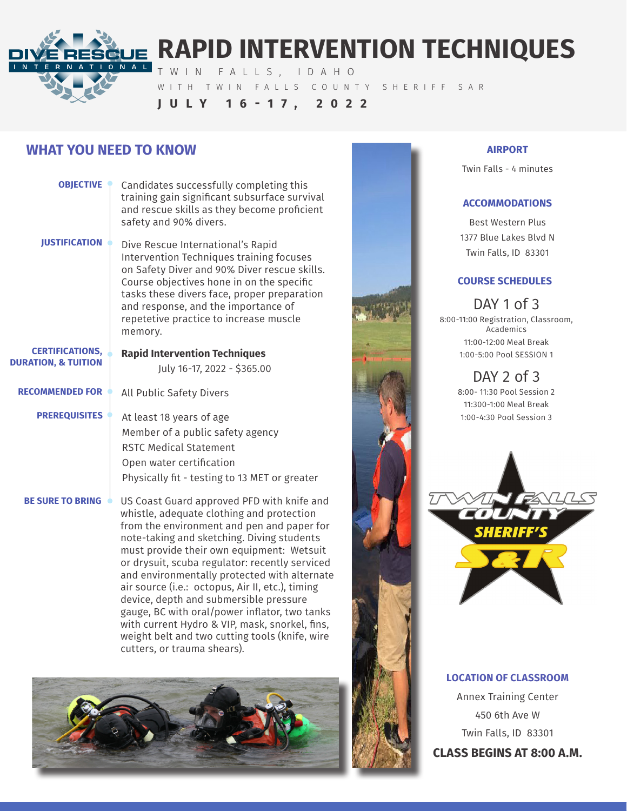

# **RAPID INTERVENTION TECHNIQUES**

TWIN FALLS, IDAHO

WITH TWIN FALLS COUNTY SHERIFF SAR

## **JULY 16-17, 2022**

# **WHAT YOU NEED TO KNOW**

| <b>OBJECTIVE</b>                                         | Candidates successfully completing this<br>training gain significant subsurface survival<br>and rescue skills as they become proficient<br>safety and 90% divers.                                                                                                                                                                                                                                                                                                                                                                                                                                                    |
|----------------------------------------------------------|----------------------------------------------------------------------------------------------------------------------------------------------------------------------------------------------------------------------------------------------------------------------------------------------------------------------------------------------------------------------------------------------------------------------------------------------------------------------------------------------------------------------------------------------------------------------------------------------------------------------|
| <b>JUSTIFICATION</b>                                     | Dive Rescue International's Rapid<br>Intervention Techniques training focuses<br>on Safety Diver and 90% Diver rescue skills.<br>Course objectives hone in on the specific<br>tasks these divers face, proper preparation<br>and response, and the importance of<br>repetetive practice to increase muscle<br>memory.                                                                                                                                                                                                                                                                                                |
| <b>CERTIFICATIONS,</b><br><b>DURATION, &amp; TUITION</b> | <b>Rapid Intervention Techniques</b><br>July 16-17, 2022 - \$365.00                                                                                                                                                                                                                                                                                                                                                                                                                                                                                                                                                  |
| <b>RECOMMENDED FOR</b>                                   | All Public Safety Divers                                                                                                                                                                                                                                                                                                                                                                                                                                                                                                                                                                                             |
| <b>PREREQUISITES</b>                                     | At least 18 years of age<br>Member of a public safety agency<br><b>RSTC Medical Statement</b><br>Open water certification<br>Physically fit - testing to 13 MET or greater                                                                                                                                                                                                                                                                                                                                                                                                                                           |
| <b>BE SURE TO BRING</b>                                  | US Coast Guard approved PFD with knife and<br>whistle, adequate clothing and protection<br>from the environment and pen and paper for<br>note-taking and sketching. Diving students<br>must provide their own equipment: Wetsuit<br>or drysuit, scuba regulator: recently serviced<br>and environmentally protected with alternate<br>air source (i.e.: octopus, Air II, etc.), timing<br>device, depth and submersible pressure<br>gauge, BC with oral/power inflator, two tanks<br>with current Hydro & VIP, mask, snorkel, fins,<br>weight belt and two cutting tools (knife, wire<br>cutters, or trauma shears). |
|                                                          |                                                                                                                                                                                                                                                                                                                                                                                                                                                                                                                                                                                                                      |



#### **AIRPORT**

Twin Falls - 4 minutes

### **ACCOMMODATIONS**

Best Western Plus 1377 Blue Lakes Blvd N Twin Falls, ID 83301

### **COURSE SCHEDULES**

DAY 1 of 3 8:00-11:00 Registration, Classroom, Academics 11:00-12:00 Meal Break 1:00-5:00 Pool SESSION 1

> DAY 2 of 3 8:00- 11:30 Pool Session 2 11:300-1:00 Meal Break



### **LOCATION OF CLASSROOM**

Annex Training Center 450 6th Ave W Twin Falls, ID 83301 **CLASS BEGINS AT 8:00 A.M.**